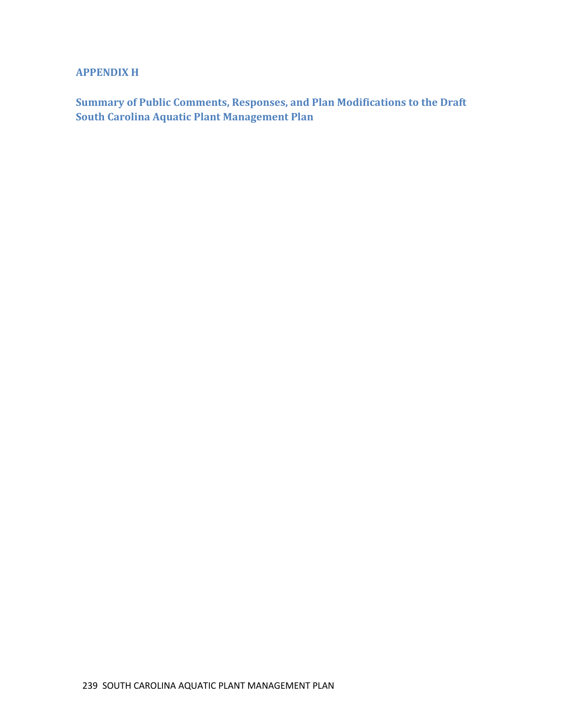# **APPENDIX H**

**Summary of Public Comments, Responses, and Plan Modifications to the Draft South Carolina Aquatic Plant Management Plan**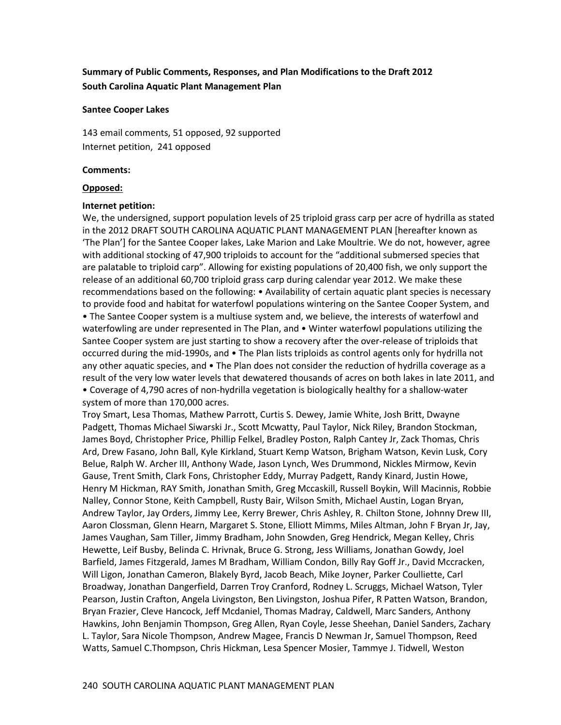# **Summary of Public Comments, Responses, and Plan Modifications to the Draft 2012 South Carolina Aquatic Plant Management Plan**

#### **Santee Cooper Lakes**

143 email comments, 51 opposed, 92 supported Internet petition, 241 opposed

#### **Comments:**

#### **Opposed:**

#### **Internet petition:**

We, the undersigned, support population levels of 25 triploid grass carp per acre of hydrilla as stated in the 2012 DRAFT SOUTH CAROLINA AQUATIC PLANT MANAGEMENT PLAN [hereafter known as 'The Plan'] for the Santee Cooper lakes, Lake Marion and Lake Moultrie. We do not, however, agree with additional stocking of 47,900 triploids to account for the "additional submersed species that are palatable to triploid carp". Allowing for existing populations of 20,400 fish, we only support the release of an additional 60,700 triploid grass carp during calendar year 2012. We make these recommendations based on the following: • Availability of certain aquatic plant species is necessary to provide food and habitat for waterfowl populations wintering on the Santee Cooper System, and • The Santee Cooper system is a multiuse system and, we believe, the interests of waterfowl and waterfowling are under represented in The Plan, and • Winter waterfowl populations utilizing the Santee Cooper system are just starting to show a recovery after the over-release of triploids that occurred during the mid-1990s, and • The Plan lists triploids as control agents only for hydrilla not any other aquatic species, and • The Plan does not consider the reduction of hydrilla coverage as a result of the very low water levels that dewatered thousands of acres on both lakes in late 2011, and • Coverage of 4,790 acres of non-hydrilla vegetation is biologically healthy for a shallow-water system of more than 170,000 acres.

Troy Smart, Lesa Thomas, Mathew Parrott, Curtis S. Dewey, Jamie White, Josh Britt, Dwayne Padgett, Thomas Michael Siwarski Jr., Scott Mcwatty, Paul Taylor, Nick Riley, Brandon Stockman, James Boyd, Christopher Price, Phillip Felkel, Bradley Poston, Ralph Cantey Jr, Zack Thomas, Chris Ard, Drew Fasano, John Ball, Kyle Kirkland, Stuart Kemp Watson, Brigham Watson, Kevin Lusk, Cory Belue, Ralph W. Archer III, Anthony Wade, Jason Lynch, Wes Drummond, Nickles Mirmow, Kevin Gause, Trent Smith, Clark Fons, Christopher Eddy, Murray Padgett, Randy Kinard, Justin Howe, Henry M Hickman, RAY Smith, Jonathan Smith, Greg Mccaskill, Russell Boykin, Will Macinnis, Robbie Nalley, Connor Stone, Keith Campbell, Rusty Bair, Wilson Smith, Michael Austin, Logan Bryan, Andrew Taylor, Jay Orders, Jimmy Lee, Kerry Brewer, Chris Ashley, R. Chilton Stone, Johnny Drew III, Aaron Clossman, Glenn Hearn, Margaret S. Stone, Elliott Mimms, Miles Altman, John F Bryan Jr, Jay, James Vaughan, Sam Tiller, Jimmy Bradham, John Snowden, Greg Hendrick, Megan Kelley, Chris Hewette, Leif Busby, Belinda C. Hrivnak, Bruce G. Strong, Jess Williams, Jonathan Gowdy, Joel Barfield, James Fitzgerald, James M Bradham, William Condon, Billy Ray Goff Jr., David Mccracken, Will Ligon, Jonathan Cameron, Blakely Byrd, Jacob Beach, Mike Joyner, Parker Coulliette, Carl Broadway, Jonathan Dangerfield, Darren Troy Cranford, Rodney L. Scruggs, Michael Watson, Tyler Pearson, Justin Crafton, Angela Livingston, Ben Livingston, Joshua Pifer, R Patten Watson, Brandon, Bryan Frazier, Cleve Hancock, Jeff Mcdaniel, Thomas Madray, Caldwell, Marc Sanders, Anthony Hawkins, John Benjamin Thompson, Greg Allen, Ryan Coyle, Jesse Sheehan, Daniel Sanders, Zachary L. Taylor, Sara Nicole Thompson, Andrew Magee, Francis D Newman Jr, Samuel Thompson, Reed Watts, Samuel C.Thompson, Chris Hickman, Lesa Spencer Mosier, Tammye J. Tidwell, Weston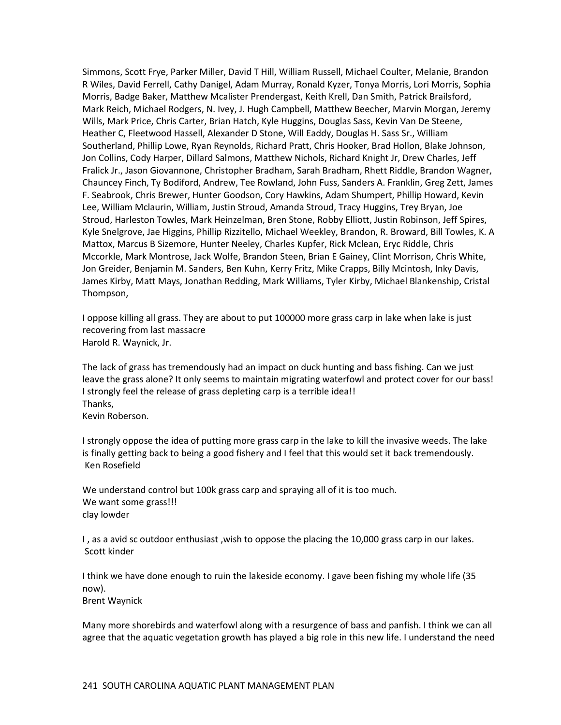Simmons, Scott Frye, Parker Miller, David T Hill, William Russell, Michael Coulter, Melanie, Brandon R Wiles, David Ferrell, Cathy Danigel, Adam Murray, Ronald Kyzer, Tonya Morris, Lori Morris, Sophia Morris, Badge Baker, Matthew Mcalister Prendergast, Keith Krell, Dan Smith, Patrick Brailsford, Mark Reich, Michael Rodgers, N. Ivey, J. Hugh Campbell, Matthew Beecher, Marvin Morgan, Jeremy Wills, Mark Price, Chris Carter, Brian Hatch, Kyle Huggins, Douglas Sass, Kevin Van De Steene, Heather C, Fleetwood Hassell, Alexander D Stone, Will Eaddy, Douglas H. Sass Sr., William Southerland, Phillip Lowe, Ryan Reynolds, Richard Pratt, Chris Hooker, Brad Hollon, Blake Johnson, Jon Collins, Cody Harper, Dillard Salmons, Matthew Nichols, Richard Knight Jr, Drew Charles, Jeff Fralick Jr., Jason Giovannone, Christopher Bradham, Sarah Bradham, Rhett Riddle, Brandon Wagner, Chauncey Finch, Ty Bodiford, Andrew, Tee Rowland, John Fuss, Sanders A. Franklin, Greg Zett, James F. Seabrook, Chris Brewer, Hunter Goodson, Cory Hawkins, Adam Shumpert, Phillip Howard, Kevin Lee, William Mclaurin, William, Justin Stroud, Amanda Stroud, Tracy Huggins, Trey Bryan, Joe Stroud, Harleston Towles, Mark Heinzelman, Bren Stone, Robby Elliott, Justin Robinson, Jeff Spires, Kyle Snelgrove, Jae Higgins, Phillip Rizzitello, Michael Weekley, Brandon, R. Broward, Bill Towles, K. A Mattox, Marcus B Sizemore, Hunter Neeley, Charles Kupfer, Rick Mclean, Eryc Riddle, Chris Mccorkle, Mark Montrose, Jack Wolfe, Brandon Steen, Brian E Gainey, Clint Morrison, Chris White, Jon Greider, Benjamin M. Sanders, Ben Kuhn, Kerry Fritz, Mike Crapps, Billy Mcintosh, Inky Davis, James Kirby, Matt Mays, Jonathan Redding, Mark Williams, Tyler Kirby, Michael Blankenship, Cristal Thompson,

I oppose killing all grass. They are about to put 100000 more grass carp in lake when lake is just recovering from last massacre Harold R. Waynick, Jr.

The lack of grass has tremendously had an impact on duck hunting and bass fishing. Can we just leave the grass alone? It only seems to maintain migrating waterfowl and protect cover for our bass! I strongly feel the release of grass depleting carp is a terrible idea!! Thanks, Kevin Roberson.

I strongly oppose the idea of putting more grass carp in the lake to kill the invasive weeds. The lake is finally getting back to being a good fishery and I feel that this would set it back tremendously. Ken Rosefield

We understand control but 100k grass carp and spraying all of it is too much. We want some grass!!! clay lowder

I, as a avid sc outdoor enthusiast, wish to oppose the placing the 10,000 grass carp in our lakes. Scott kinder

I think we have done enough to ruin the lakeside economy. I gave been fishing my whole life (35 now).

Brent Waynick

Many more shorebirds and waterfowl along with a resurgence of bass and panfish. I think we can all agree that the aquatic vegetation growth has played a big role in this new life. I understand the need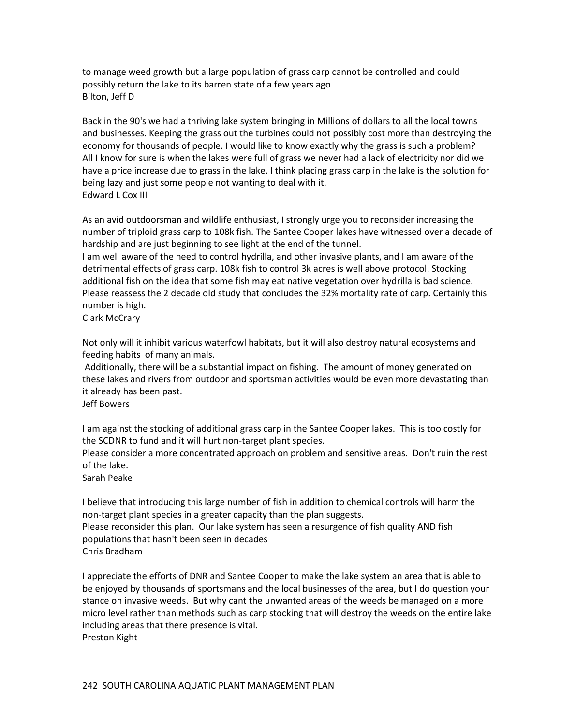to manage weed growth but a large population of grass carp cannot be controlled and could possibly return the lake to its barren state of a few years ago Bilton, Jeff D

Back in the 90's we had a thriving lake system bringing in Millions of dollars to all the local towns and businesses. Keeping the grass out the turbines could not possibly cost more than destroying the economy for thousands of people. I would like to know exactly why the grass is such a problem? All I know for sure is when the lakes were full of grass we never had a lack of electricity nor did we have a price increase due to grass in the lake. I think placing grass carp in the lake is the solution for being lazy and just some people not wanting to deal with it. Edward L Cox III

As an avid outdoorsman and wildlife enthusiast, I strongly urge you to reconsider increasing the number of triploid grass carp to 108k fish. The Santee Cooper lakes have witnessed over a decade of hardship and are just beginning to see light at the end of the tunnel.

I am well aware of the need to control hydrilla, and other invasive plants, and I am aware of the detrimental effects of grass carp. 108k fish to control 3k acres is well above protocol. Stocking additional fish on the idea that some fish may eat native vegetation over hydrilla is bad science. Please reassess the 2 decade old study that concludes the 32% mortality rate of carp. Certainly this number is high.

Clark McCrary

Not only will it inhibit various waterfowl habitats, but it will also destroy natural ecosystems and feeding habits of many animals.

Additionally, there will be a substantial impact on fishing. The amount of money generated on these lakes and rivers from outdoor and sportsman activities would be even more devastating than it already has been past.

Jeff Bowers

I am against the stocking of additional grass carp in the Santee Cooper lakes. This is too costly for the SCDNR to fund and it will hurt non-target plant species.

Please consider a more concentrated approach on problem and sensitive areas. Don't ruin the rest of the lake.

Sarah Peake

I believe that introducing this large number of fish in addition to chemical controls will harm the non-target plant species in a greater capacity than the plan suggests. Please reconsider this plan. Our lake system has seen a resurgence of fish quality AND fish populations that hasn't been seen in decades

Chris Bradham

I appreciate the efforts of DNR and Santee Cooper to make the lake system an area that is able to be enjoyed by thousands of sportsmans and the local businesses of the area, but I do question your stance on invasive weeds. But why cant the unwanted areas of the weeds be managed on a more micro level rather than methods such as carp stocking that will destroy the weeds on the entire lake including areas that there presence is vital. Preston Kight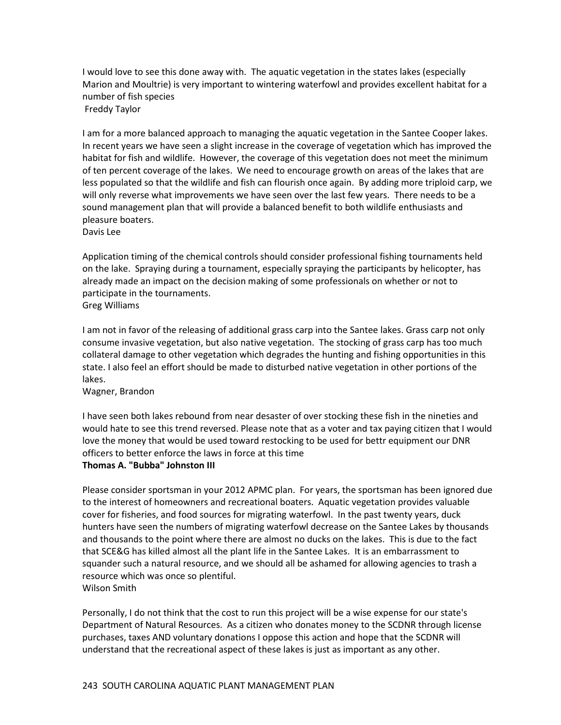I would love to see this done away with. The aquatic vegetation in the states lakes (especially Marion and Moultrie) is very important to wintering waterfowl and provides excellent habitat for a number of fish species

Freddy Taylor

I am for a more balanced approach to managing the aquatic vegetation in the Santee Cooper lakes. In recent years we have seen a slight increase in the coverage of vegetation which has improved the habitat for fish and wildlife. However, the coverage of this vegetation does not meet the minimum of ten percent coverage of the lakes. We need to encourage growth on areas of the lakes that are less populated so that the wildlife and fish can flourish once again. By adding more triploid carp, we will only reverse what improvements we have seen over the last few years. There needs to be a sound management plan that will provide a balanced benefit to both wildlife enthusiasts and pleasure boaters.

Davis Lee

Application timing of the chemical controls should consider professional fishing tournaments held on the lake. Spraying during a tournament, especially spraying the participants by helicopter, has already made an impact on the decision making of some professionals on whether or not to participate in the tournaments.

Greg Williams

I am not in favor of the releasing of additional grass carp into the Santee lakes. Grass carp not only consume invasive vegetation, but also native vegetation. The stocking of grass carp has too much collateral damage to other vegetation which degrades the hunting and fishing opportunities in this state. I also feel an effort should be made to disturbed native vegetation in other portions of the lakes.

Wagner, Brandon

I have seen both lakes rebound from near desaster of over stocking these fish in the nineties and would hate to see this trend reversed. Please note that as a voter and tax paying citizen that I would love the money that would be used toward restocking to be used for bettr equipment our DNR officers to better enforce the laws in force at this time

## **Thomas A. "Bubba" Johnston III**

Please consider sportsman in your 2012 APMC plan. For years, the sportsman has been ignored due to the interest of homeowners and recreational boaters. Aquatic vegetation provides valuable cover for fisheries, and food sources for migrating waterfowl. In the past twenty years, duck hunters have seen the numbers of migrating waterfowl decrease on the Santee Lakes by thousands and thousands to the point where there are almost no ducks on the lakes. This is due to the fact that SCE&G has killed almost all the plant life in the Santee Lakes. It is an embarrassment to squander such a natural resource, and we should all be ashamed for allowing agencies to trash a resource which was once so plentiful. Wilson Smith

Personally, I do not think that the cost to run this project will be a wise expense for our state's Department of Natural Resources. As a citizen who donates money to the SCDNR through license purchases, taxes AND voluntary donations I oppose this action and hope that the SCDNR will understand that the recreational aspect of these lakes is just as important as any other.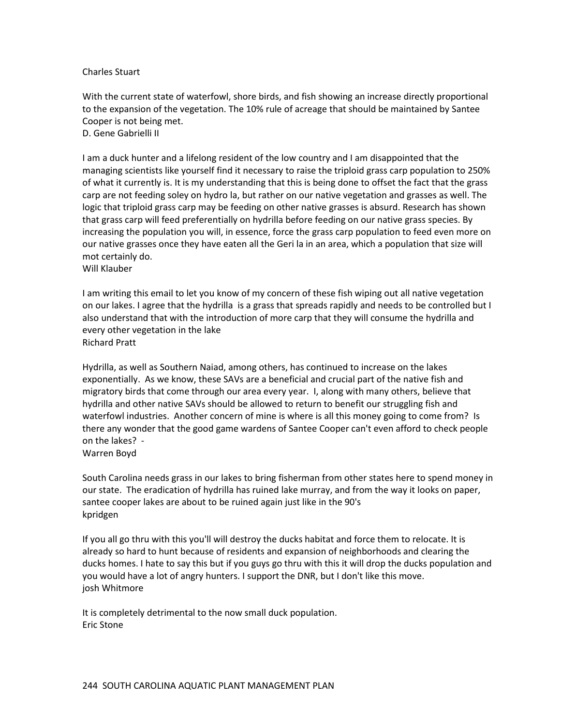#### Charles Stuart

With the current state of waterfowl, shore birds, and fish showing an increase directly proportional to the expansion of the vegetation. The 10% rule of acreage that should be maintained by Santee Cooper is not being met.

D. Gene Gabrielli II

I am a duck hunter and a lifelong resident of the low country and I am disappointed that the managing scientists like yourself find it necessary to raise the triploid grass carp population to 250% of what it currently is. It is my understanding that this is being done to offset the fact that the grass carp are not feeding soley on hydro la, but rather on our native vegetation and grasses as well. The logic that triploid grass carp may be feeding on other native grasses is absurd. Research has shown that grass carp will feed preferentially on hydrilla before feeding on our native grass species. By increasing the population you will, in essence, force the grass carp population to feed even more on our native grasses once they have eaten all the Geri la in an area, which a population that size will mot certainly do.

Will Klauber

I am writing this email to let you know of my concern of these fish wiping out all native vegetation on our lakes. I agree that the hydrilla is a grass that spreads rapidly and needs to be controlled but I also understand that with the introduction of more carp that they will consume the hydrilla and every other vegetation in the lake Richard Pratt

Hydrilla, as well as Southern Naiad, among others, has continued to increase on the lakes exponentially. As we know, these SAVs are a beneficial and crucial part of the native fish and migratory birds that come through our area every year. I, along with many others, believe that hydrilla and other native SAVs should be allowed to return to benefit our struggling fish and waterfowl industries. Another concern of mine is where is all this money going to come from? Is there any wonder that the good game wardens of Santee Cooper can't even afford to check people on the lakes? -

Warren Boyd

South Carolina needs grass in our lakes to bring fisherman from other states here to spend money in our state. The eradication of hydrilla has ruined lake murray, and from the way it looks on paper, santee cooper lakes are about to be ruined again just like in the 90's kpridgen

If you all go thru with this you'll will destroy the ducks habitat and force them to relocate. It is already so hard to hunt because of residents and expansion of neighborhoods and clearing the ducks homes. I hate to say this but if you guys go thru with this it will drop the ducks population and you would have a lot of angry hunters. I support the DNR, but I don't like this move. josh Whitmore

It is completely detrimental to the now small duck population. Eric Stone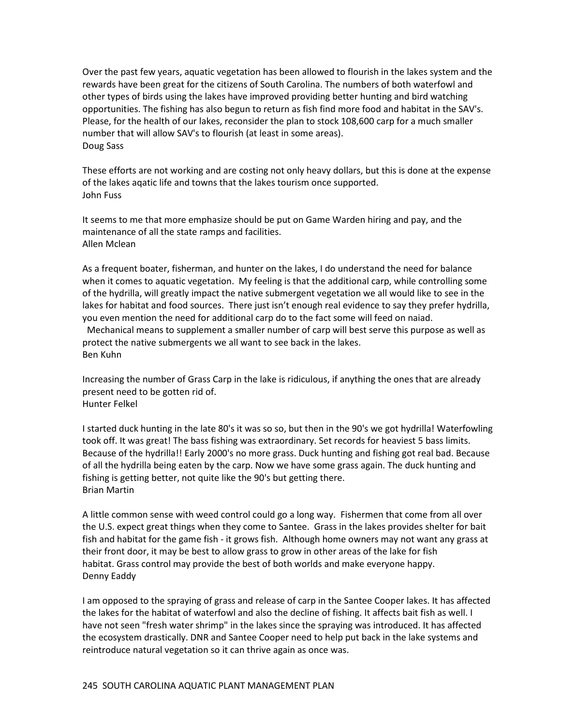Over the past few years, aquatic vegetation has been allowed to flourish in the lakes system and the rewards have been great for the citizens of South Carolina. The numbers of both waterfowl and other types of birds using the lakes have improved providing better hunting and bird watching opportunities. The fishing has also begun to return as fish find more food and habitat in the SAV's. Please, for the health of our lakes, reconsider the plan to stock 108,600 carp for a much smaller number that will allow SAV's to flourish (at least in some areas). Doug Sass

These efforts are not working and are costing not only heavy dollars, but this is done at the expense of the lakes aqatic life and towns that the lakes tourism once supported. John Fuss

It seems to me that more emphasize should be put on Game Warden hiring and pay, and the maintenance of all the state ramps and facilities. Allen Mclean

As a frequent boater, fisherman, and hunter on the lakes, I do understand the need for balance when it comes to aquatic vegetation. My feeling is that the additional carp, while controlling some of the hydrilla, will greatly impact the native submergent vegetation we all would like to see in the lakes for habitat and food sources. There just isn't enough real evidence to say they prefer hydrilla, you even mention the need for additional carp do to the fact some will feed on naiad.

Mechanical means to supplement a smaller number of carp will best serve this purpose as well as protect the native submergents we all want to see back in the lakes. Ben Kuhn

Increasing the number of Grass Carp in the lake is ridiculous, if anything the ones that are already present need to be gotten rid of. Hunter Felkel

I started duck hunting in the late 80's it was so so, but then in the 90's we got hydrilla! Waterfowling took off. It was great! The bass fishing was extraordinary. Set records for heaviest 5 bass limits. Because of the hydrilla!! Early 2000's no more grass. Duck hunting and fishing got real bad. Because of all the hydrilla being eaten by the carp. Now we have some grass again. The duck hunting and fishing is getting better, not quite like the 90's but getting there. Brian Martin

A little common sense with weed control could go a long way. Fishermen that come from all over the U.S. expect great things when they come to Santee. Grass in the lakes provides shelter for bait fish and habitat for the game fish - it grows fish. Although home owners may not want any grass at their front door, it may be best to allow grass to grow in other areas of the lake for fish habitat. Grass control may provide the best of both worlds and make everyone happy. Denny Eaddy

I am opposed to the spraying of grass and release of carp in the Santee Cooper lakes. It has affected the lakes for the habitat of waterfowl and also the decline of fishing. It affects bait fish as well. I have not seen "fresh water shrimp" in the lakes since the spraying was introduced. It has affected the ecosystem drastically. DNR and Santee Cooper need to help put back in the lake systems and reintroduce natural vegetation so it can thrive again as once was.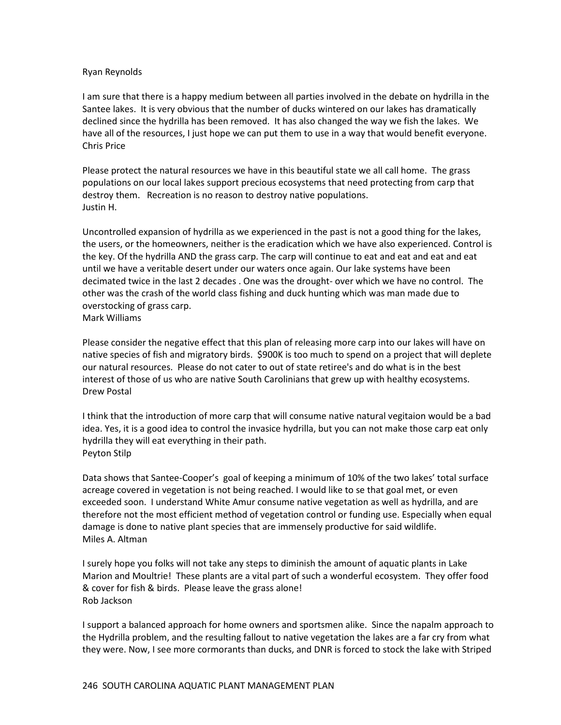#### Ryan Reynolds

I am sure that there is a happy medium between all parties involved in the debate on hydrilla in the Santee lakes. It is very obvious that the number of ducks wintered on our lakes has dramatically declined since the hydrilla has been removed. It has also changed the way we fish the lakes. We have all of the resources, I just hope we can put them to use in a way that would benefit everyone. Chris Price

Please protect the natural resources we have in this beautiful state we all call home. The grass populations on our local lakes support precious ecosystems that need protecting from carp that destroy them. Recreation is no reason to destroy native populations. Justin H.

Uncontrolled expansion of hydrilla as we experienced in the past is not a good thing for the lakes, the users, or the homeowners, neither is the eradication which we have also experienced. Control is the key. Of the hydrilla AND the grass carp. The carp will continue to eat and eat and eat and eat until we have a veritable desert under our waters once again. Our lake systems have been decimated twice in the last 2 decades . One was the drought- over which we have no control. The other was the crash of the world class fishing and duck hunting which was man made due to overstocking of grass carp.

Mark Williams

Please consider the negative effect that this plan of releasing more carp into our lakes will have on native species of fish and migratory birds. \$900K is too much to spend on a project that will deplete our natural resources. Please do not cater to out of state retiree's and do what is in the best interest of those of us who are native South Carolinians that grew up with healthy ecosystems. Drew Postal

I think that the introduction of more carp that will consume native natural vegitaion would be a bad idea. Yes, it is a good idea to control the invasice hydrilla, but you can not make those carp eat only hydrilla they will eat everything in their path. Peyton Stilp

Data shows that Santee-Cooper's goal of keeping a minimum of 10% of the two lakes' total surface acreage covered in vegetation is not being reached. I would like to se that goal met, or even exceeded soon. I understand White Amur consume native vegetation as well as hydrilla, and are therefore not the most efficient method of vegetation control or funding use. Especially when equal damage is done to native plant species that are immensely productive for said wildlife. Miles A. Altman

I surely hope you folks will not take any steps to diminish the amount of aquatic plants in Lake Marion and Moultrie! These plants are a vital part of such a wonderful ecosystem. They offer food & cover for fish & birds. Please leave the grass alone! Rob Jackson

I support a balanced approach for home owners and sportsmen alike. Since the napalm approach to the Hydrilla problem, and the resulting fallout to native vegetation the lakes are a far cry from what they were. Now, I see more cormorants than ducks, and DNR is forced to stock the lake with Striped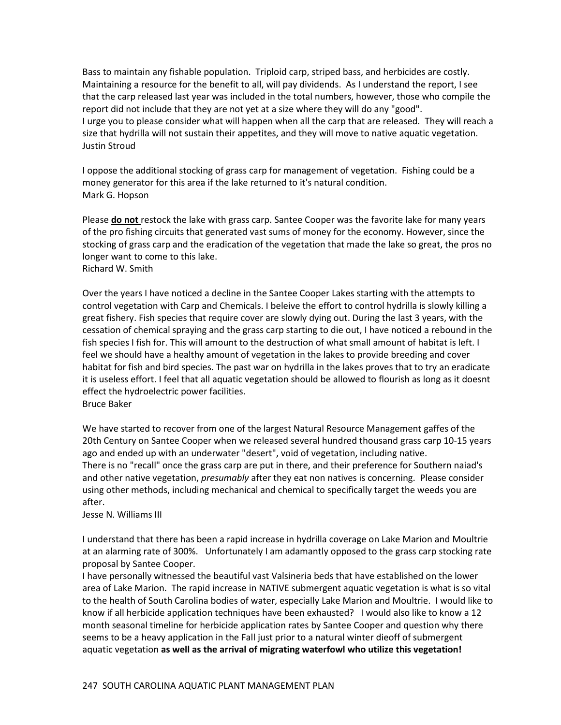Bass to maintain any fishable population. Triploid carp, striped bass, and herbicides are costly. Maintaining a resource for the benefit to all, will pay dividends. As I understand the report, I see that the carp released last year was included in the total numbers, however, those who compile the report did not include that they are not yet at a size where they will do any "good". I urge you to please consider what will happen when all the carp that are released. They will reach a size that hydrilla will not sustain their appetites, and they will move to native aquatic vegetation. Justin Stroud

I oppose the additional stocking of grass carp for management of vegetation. Fishing could be a money generator for this area if the lake returned to it's natural condition. Mark G. Hopson

Please **do not** restock the lake with grass carp. Santee Cooper was the favorite lake for many years of the pro fishing circuits that generated vast sums of money for the economy. However, since the stocking of grass carp and the eradication of the vegetation that made the lake so great, the pros no longer want to come to this lake. Richard W. Smith

Over the years I have noticed a decline in the Santee Cooper Lakes starting with the attempts to control vegetation with Carp and Chemicals. I beleive the effort to control hydrilla is slowly killing a great fishery. Fish species that require cover are slowly dying out. During the last 3 years, with the cessation of chemical spraying and the grass carp starting to die out, I have noticed a rebound in the fish species I fish for. This will amount to the destruction of what small amount of habitat is left. I feel we should have a healthy amount of vegetation in the lakes to provide breeding and cover habitat for fish and bird species. The past war on hydrilla in the lakes proves that to try an eradicate it is useless effort. I feel that all aquatic vegetation should be allowed to flourish as long as it doesnt effect the hydroelectric power facilities. Bruce Baker

We have started to recover from one of the largest Natural Resource Management gaffes of the 20th Century on Santee Cooper when we released several hundred thousand grass carp 10-15 years ago and ended up with an underwater "desert", void of vegetation, including native. There is no "recall" once the grass carp are put in there, and their preference for Southern naiad's and other native vegetation, *presumably* after they eat non natives is concerning. Please consider using other methods, including mechanical and chemical to specifically target the weeds you are after.

#### Jesse N. Williams III

I understand that there has been a rapid increase in hydrilla coverage on Lake Marion and Moultrie at an alarming rate of 300%. Unfortunately I am adamantly opposed to the grass carp stocking rate proposal by Santee Cooper.

I have personally witnessed the beautiful vast Valsineria beds that have established on the lower area of Lake Marion. The rapid increase in NATIVE submergent aquatic vegetation is what is so vital to the health of South Carolina bodies of water, especially Lake Marion and Moultrie. I would like to know if all herbicide application techniques have been exhausted? I would also like to know a 12 month seasonal timeline for herbicide application rates by Santee Cooper and question why there seems to be a heavy application in the Fall just prior to a natural winter dieoff of submergent aquatic vegetation **as well as the arrival of migrating waterfowl who utilize this vegetation!**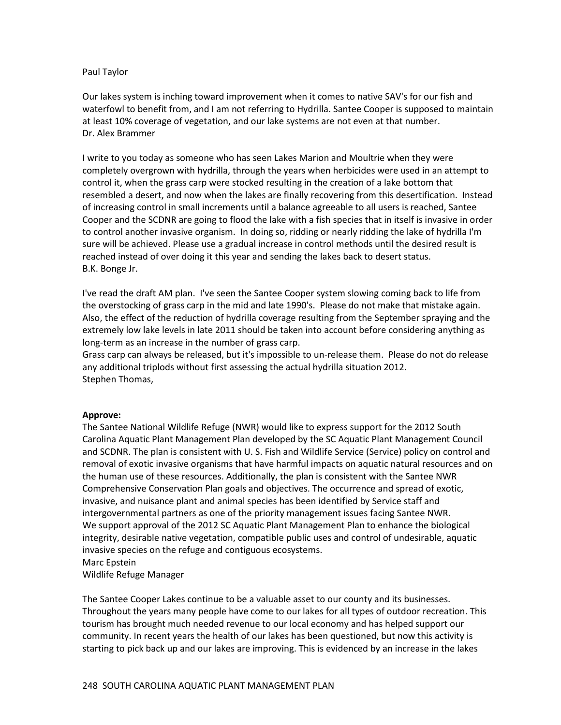#### Paul Taylor

Our lakes system is inching toward improvement when it comes to native SAV's for our fish and waterfowl to benefit from, and I am not referring to Hydrilla. Santee Cooper is supposed to maintain at least 10% coverage of vegetation, and our lake systems are not even at that number. Dr. Alex Brammer

I write to you today as someone who has seen Lakes Marion and Moultrie when they were completely overgrown with hydrilla, through the years when herbicides were used in an attempt to control it, when the grass carp were stocked resulting in the creation of a lake bottom that resembled a desert, and now when the lakes are finally recovering from this desertification. Instead of increasing control in small increments until a balance agreeable to all users is reached, Santee Cooper and the SCDNR are going to flood the lake with a fish species that in itself is invasive in order to control another invasive organism. In doing so, ridding or nearly ridding the lake of hydrilla I'm sure will be achieved. Please use a gradual increase in control methods until the desired result is reached instead of over doing it this year and sending the lakes back to desert status. B.K. Bonge Jr.

I've read the draft AM plan. I've seen the Santee Cooper system slowing coming back to life from the overstocking of grass carp in the mid and late 1990's. Please do not make that mistake again. Also, the effect of the reduction of hydrilla coverage resulting from the September spraying and the extremely low lake levels in late 2011 should be taken into account before considering anything as long-term as an increase in the number of grass carp.

Grass carp can always be released, but it's impossible to un-release them. Please do not do release any additional triplods without first assessing the actual hydrilla situation 2012. Stephen Thomas,

#### **Approve:**

The Santee National Wildlife Refuge (NWR) would like to express support for the 2012 South Carolina Aquatic Plant Management Plan developed by the SC Aquatic Plant Management Council and SCDNR. The plan is consistent with U. S. Fish and Wildlife Service (Service) policy on control and removal of exotic invasive organisms that have harmful impacts on aquatic natural resources and on the human use of these resources. Additionally, the plan is consistent with the Santee NWR Comprehensive Conservation Plan goals and objectives. The occurrence and spread of exotic, invasive, and nuisance plant and animal species has been identified by Service staff and intergovernmental partners as one of the priority management issues facing Santee NWR. We support approval of the 2012 SC Aquatic Plant Management Plan to enhance the biological integrity, desirable native vegetation, compatible public uses and control of undesirable, aquatic invasive species on the refuge and contiguous ecosystems. Marc Epstein

Wildlife Refuge Manager

The Santee Cooper Lakes continue to be a valuable asset to our county and its businesses. Throughout the years many people have come to our lakes for all types of outdoor recreation. This tourism has brought much needed revenue to our local economy and has helped support our community. In recent years the health of our lakes has been questioned, but now this activity is starting to pick back up and our lakes are improving. This is evidenced by an increase in the lakes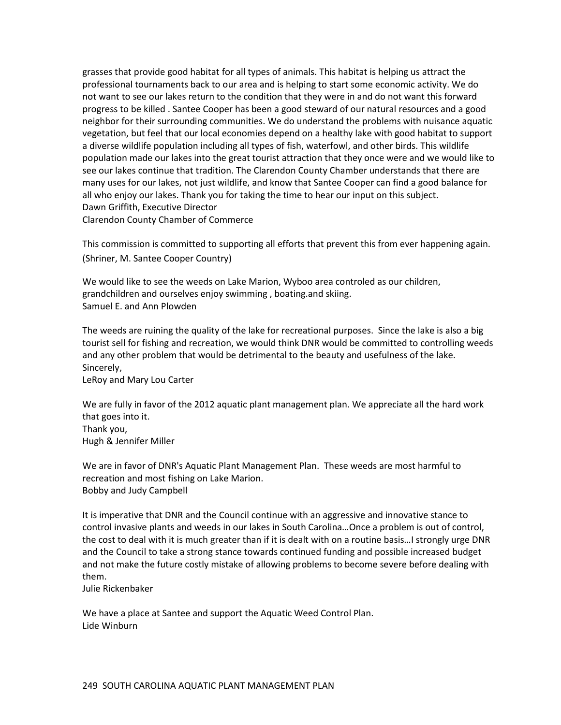grasses that provide good habitat for all types of animals. This habitat is helping us attract the professional tournaments back to our area and is helping to start some economic activity. We do not want to see our lakes return to the condition that they were in and do not want this forward progress to be killed . Santee Cooper has been a good steward of our natural resources and a good neighbor for their surrounding communities. We do understand the problems with nuisance aquatic vegetation, but feel that our local economies depend on a healthy lake with good habitat to support a diverse wildlife population including all types of fish, waterfowl, and other birds. This wildlife population made our lakes into the great tourist attraction that they once were and we would like to see our lakes continue that tradition. The Clarendon County Chamber understands that there are many uses for our lakes, not just wildlife, and know that Santee Cooper can find a good balance for all who enjoy our lakes. Thank you for taking the time to hear our input on this subject. Dawn Griffith, Executive Director Clarendon County Chamber of Commerce

This commission is committed to supporting all efforts that prevent this from ever happening again. (Shriner, M. Santee Cooper Country)

We would like to see the weeds on Lake Marion, Wyboo area controled as our children, grandchildren and ourselves enjoy swimming , boating.and skiing. Samuel E. and Ann Plowden

The weeds are ruining the quality of the lake for recreational purposes. Since the lake is also a big tourist sell for fishing and recreation, we would think DNR would be committed to controlling weeds and any other problem that would be detrimental to the beauty and usefulness of the lake. Sincerely,

LeRoy and Mary Lou Carter

We are fully in favor of the 2012 aquatic plant management plan. We appreciate all the hard work that goes into it. Thank you, Hugh & Jennifer Miller

We are in favor of DNR's Aquatic Plant Management Plan. These weeds are most harmful to recreation and most fishing on Lake Marion. Bobby and Judy Campbell

It is imperative that DNR and the Council continue with an aggressive and innovative stance to control invasive plants and weeds in our lakes in South Carolina…Once a problem is out of control, the cost to deal with it is much greater than if it is dealt with on a routine basis…I strongly urge DNR and the Council to take a strong stance towards continued funding and possible increased budget and not make the future costly mistake of allowing problems to become severe before dealing with them.

Julie Rickenbaker

We have a place at Santee and support the Aquatic Weed Control Plan. Lide Winburn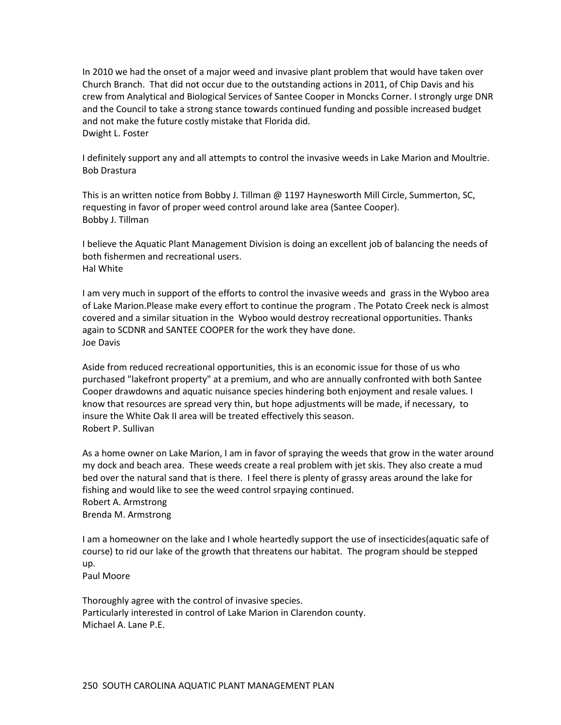In 2010 we had the onset of a major weed and invasive plant problem that would have taken over Church Branch. That did not occur due to the outstanding actions in 2011, of Chip Davis and his crew from Analytical and Biological Services of Santee Cooper in Moncks Corner. I strongly urge DNR and the Council to take a strong stance towards continued funding and possible increased budget and not make the future costly mistake that Florida did. Dwight L. Foster

I definitely support any and all attempts to control the invasive weeds in Lake Marion and Moultrie. Bob Drastura

This is an written notice from Bobby J. Tillman @ 1197 Haynesworth Mill Circle, Summerton, SC, requesting in favor of proper weed control around lake area (Santee Cooper). Bobby J. Tillman

I believe the Aquatic Plant Management Division is doing an excellent job of balancing the needs of both fishermen and recreational users. Hal White

I am very much in support of the efforts to control the invasive weeds and grass in the Wyboo area of Lake Marion.Please make every effort to continue the program . The Potato Creek neck is almost covered and a similar situation in the Wyboo would destroy recreational opportunities. Thanks again to SCDNR and SANTEE COOPER for the work they have done. Joe Davis

Aside from reduced recreational opportunities, this is an economic issue for those of us who purchased "lakefront property" at a premium, and who are annually confronted with both Santee Cooper drawdowns and aquatic nuisance species hindering both enjoyment and resale values. I know that resources are spread very thin, but hope adjustments will be made, if necessary, to insure the White Oak II area will be treated effectively this season. Robert P. Sullivan

As a home owner on Lake Marion, I am in favor of spraying the weeds that grow in the water around my dock and beach area. These weeds create a real problem with jet skis. They also create a mud bed over the natural sand that is there. I feel there is plenty of grassy areas around the lake for fishing and would like to see the weed control srpaying continued. Robert A. Armstrong Brenda M. Armstrong

I am a homeowner on the lake and I whole heartedly support the use of insecticides(aquatic safe of course) to rid our lake of the growth that threatens our habitat. The program should be stepped up.

Paul Moore

Thoroughly agree with the control of invasive species. Particularly interested in control of Lake Marion in Clarendon county. Michael A. Lane P.E.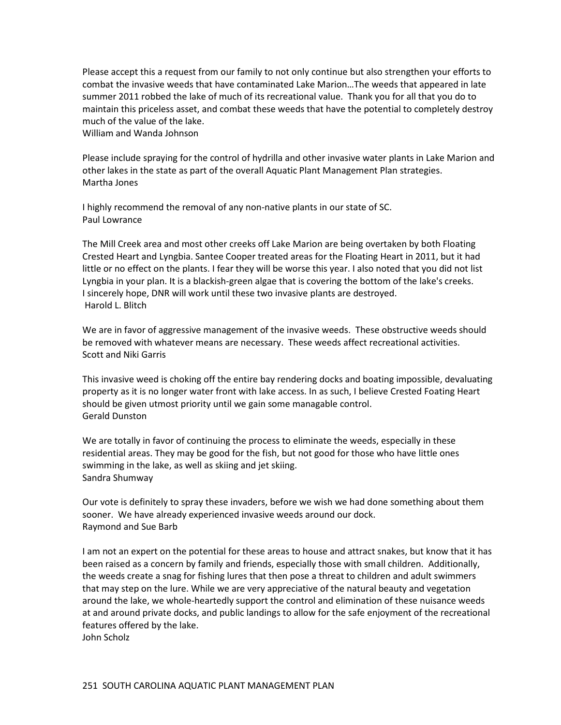Please accept this a request from our family to not only continue but also strengthen your efforts to combat the invasive weeds that have contaminated Lake Marion…The weeds that appeared in late summer 2011 robbed the lake of much of its recreational value. Thank you for all that you do to maintain this priceless asset, and combat these weeds that have the potential to completely destroy much of the value of the lake.

William and Wanda Johnson

Please include spraying for the control of hydrilla and other invasive water plants in Lake Marion and other lakes in the state as part of the overall Aquatic Plant Management Plan strategies. Martha Jones

I highly recommend the removal of any non-native plants in our state of SC. Paul Lowrance

The Mill Creek area and most other creeks off Lake Marion are being overtaken by both Floating Crested Heart and Lyngbia. Santee Cooper treated areas for the Floating Heart in 2011, but it had little or no effect on the plants. I fear they will be worse this year. I also noted that you did not list Lyngbia in your plan. It is a blackish-green algae that is covering the bottom of the lake's creeks. I sincerely hope, DNR will work until these two invasive plants are destroyed. Harold L. Blitch

We are in favor of aggressive management of the invasive weeds. These obstructive weeds should be removed with whatever means are necessary. These weeds affect recreational activities. Scott and Niki Garris

This invasive weed is choking off the entire bay rendering docks and boating impossible, devaluating property as it is no longer water front with lake access. In as such, I believe Crested Foating Heart should be given utmost priority until we gain some managable control. Gerald Dunston

We are totally in favor of continuing the process to eliminate the weeds, especially in these residential areas. They may be good for the fish, but not good for those who have little ones swimming in the lake, as well as skiing and jet skiing. Sandra Shumway

Our vote is definitely to spray these invaders, before we wish we had done something about them sooner. We have already experienced invasive weeds around our dock. Raymond and Sue Barb

I am not an expert on the potential for these areas to house and attract snakes, but know that it has been raised as a concern by family and friends, especially those with small children. Additionally, the weeds create a snag for fishing lures that then pose a threat to children and adult swimmers that may step on the lure. While we are very appreciative of the natural beauty and vegetation around the lake, we whole-heartedly support the control and elimination of these nuisance weeds at and around private docks, and public landings to allow for the safe enjoyment of the recreational features offered by the lake. John Scholz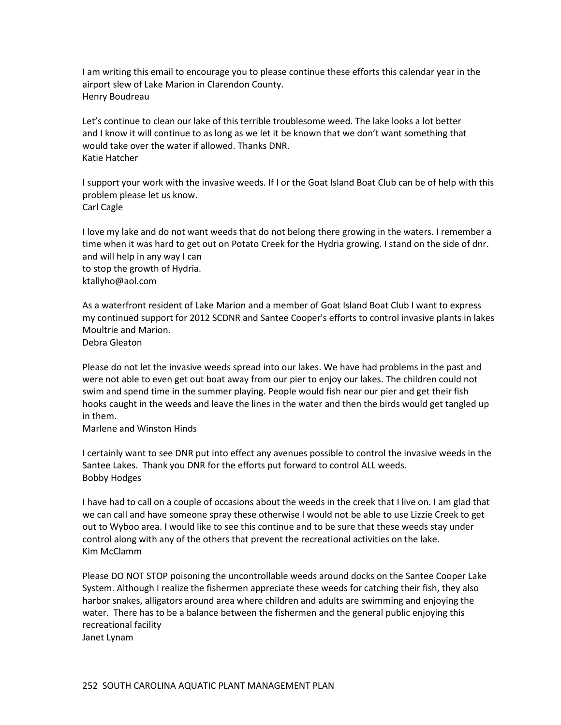I am writing this email to encourage you to please continue these efforts this calendar year in the airport slew of Lake Marion in Clarendon County. Henry Boudreau

Let's continue to clean our lake of this terrible troublesome weed. The lake looks a lot better and I know it will continue to as long as we let it be known that we don't want something that would take over the water if allowed. Thanks DNR. Katie Hatcher

I support your work with the invasive weeds. If I or the Goat Island Boat Club can be of help with this problem please let us know. Carl Cagle

I love my lake and do not want weeds that do not belong there growing in the waters. I remember a time when it was hard to get out on Potato Creek for the Hydria growing. I stand on the side of dnr. and will help in any way I can to stop the growth of Hydria. ktallyho@aol.com

As a waterfront resident of Lake Marion and a member of Goat Island Boat Club I want to express my continued support for 2012 SCDNR and Santee Cooper's efforts to control invasive plants in lakes Moultrie and Marion. Debra Gleaton

Please do not let the invasive weeds spread into our lakes. We have had problems in the past and were not able to even get out boat away from our pier to enjoy our lakes. The children could not swim and spend time in the summer playing. People would fish near our pier and get their fish hooks caught in the weeds and leave the lines in the water and then the birds would get tangled up in them.

Marlene and Winston Hinds

I certainly want to see DNR put into effect any avenues possible to control the invasive weeds in the Santee Lakes. Thank you DNR for the efforts put forward to control ALL weeds. Bobby Hodges

I have had to call on a couple of occasions about the weeds in the creek that I live on. I am glad that we can call and have someone spray these otherwise I would not be able to use Lizzie Creek to get out to Wyboo area. I would like to see this continue and to be sure that these weeds stay under control along with any of the others that prevent the recreational activities on the lake. Kim McClamm

Please DO NOT STOP poisoning the uncontrollable weeds around docks on the Santee Cooper Lake System. Although I realize the fishermen appreciate these weeds for catching their fish, they also harbor snakes, alligators around area where children and adults are swimming and enjoying the water. There has to be a balance between the fishermen and the general public enjoying this recreational facility Janet Lynam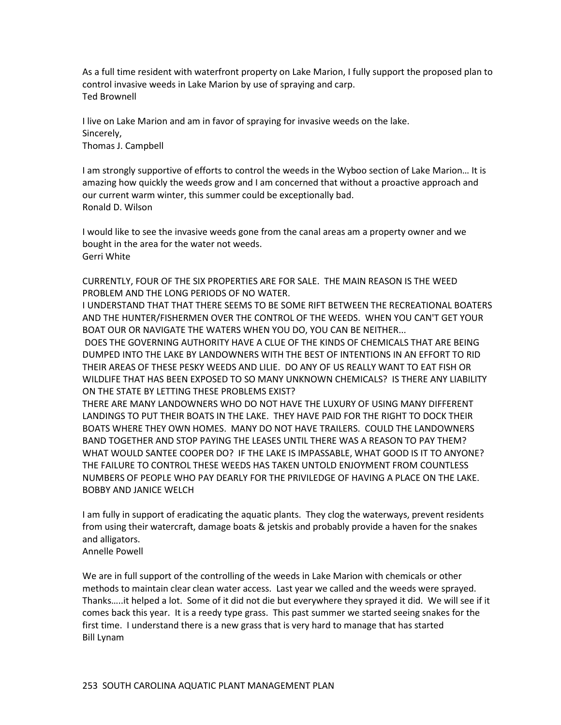As a full time resident with waterfront property on Lake Marion, I fully support the proposed plan to control invasive weeds in Lake Marion by use of spraying and carp. Ted Brownell

I live on Lake Marion and am in favor of spraying for invasive weeds on the lake. Sincerely, Thomas J. Campbell

I am strongly supportive of efforts to control the weeds in the Wyboo section of Lake Marion… It is amazing how quickly the weeds grow and I am concerned that without a proactive approach and our current warm winter, this summer could be exceptionally bad. Ronald D. Wilson

I would like to see the invasive weeds gone from the canal areas am a property owner and we bought in the area for the water not weeds. Gerri White

CURRENTLY, FOUR OF THE SIX PROPERTIES ARE FOR SALE. THE MAIN REASON IS THE WEED PROBLEM AND THE LONG PERIODS OF NO WATER.

I UNDERSTAND THAT THAT THERE SEEMS TO BE SOME RIFT BETWEEN THE RECREATIONAL BOATERS AND THE HUNTER/FISHERMEN OVER THE CONTROL OF THE WEEDS. WHEN YOU CAN'T GET YOUR BOAT OUR OR NAVIGATE THE WATERS WHEN YOU DO, YOU CAN BE NEITHER...

DOES THE GOVERNING AUTHORITY HAVE A CLUE OF THE KINDS OF CHEMICALS THAT ARE BEING DUMPED INTO THE LAKE BY LANDOWNERS WITH THE BEST OF INTENTIONS IN AN EFFORT TO RID THEIR AREAS OF THESE PESKY WEEDS AND LILIE. DO ANY OF US REALLY WANT TO EAT FISH OR WILDLIFE THAT HAS BEEN EXPOSED TO SO MANY UNKNOWN CHEMICALS? IS THERE ANY LIABILITY ON THE STATE BY LETTING THESE PROBLEMS EXIST?

THERE ARE MANY LANDOWNERS WHO DO NOT HAVE THE LUXURY OF USING MANY DIFFERENT LANDINGS TO PUT THEIR BOATS IN THE LAKE. THEY HAVE PAID FOR THE RIGHT TO DOCK THEIR BOATS WHERE THEY OWN HOMES. MANY DO NOT HAVE TRAILERS. COULD THE LANDOWNERS BAND TOGETHER AND STOP PAYING THE LEASES UNTIL THERE WAS A REASON TO PAY THEM? WHAT WOULD SANTEE COOPER DO? IF THE LAKE IS IMPASSABLE, WHAT GOOD IS IT TO ANYONE? THE FAILURE TO CONTROL THESE WEEDS HAS TAKEN UNTOLD ENJOYMENT FROM COUNTLESS NUMBERS OF PEOPLE WHO PAY DEARLY FOR THE PRIVILEDGE OF HAVING A PLACE ON THE LAKE. BOBBY AND JANICE WELCH

I am fully in support of eradicating the aquatic plants. They clog the waterways, prevent residents from using their watercraft, damage boats & jetskis and probably provide a haven for the snakes and alligators.

Annelle Powell

We are in full support of the controlling of the weeds in Lake Marion with chemicals or other methods to maintain clear clean water access. Last year we called and the weeds were sprayed. Thanks…..it helped a lot. Some of it did not die but everywhere they sprayed it did. We will see if it comes back this year. It is a reedy type grass. This past summer we started seeing snakes for the first time. I understand there is a new grass that is very hard to manage that has started Bill Lynam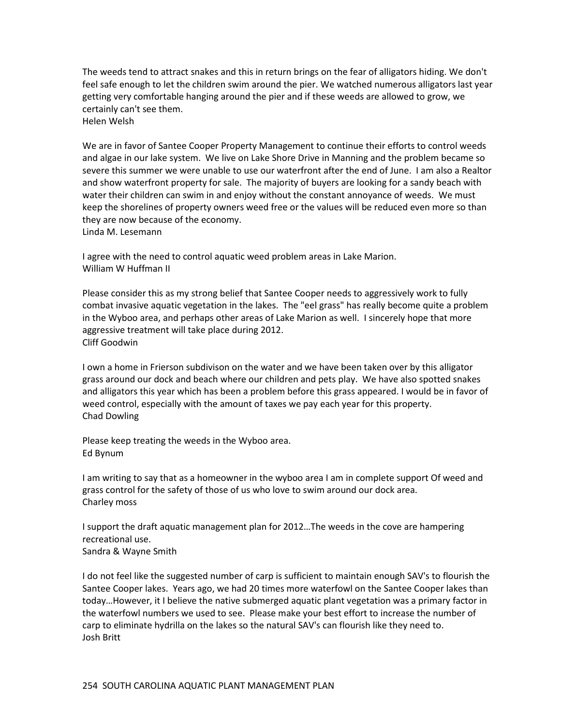The weeds tend to attract snakes and this in return brings on the fear of alligators hiding. We don't feel safe enough to let the children swim around the pier. We watched numerous alligators last year getting very comfortable hanging around the pier and if these weeds are allowed to grow, we certainly can't see them. Helen Welsh

We are in favor of Santee Cooper Property Management to continue their efforts to control weeds and algae in our lake system. We live on Lake Shore Drive in Manning and the problem became so severe this summer we were unable to use our waterfront after the end of June. I am also a Realtor and show waterfront property for sale. The majority of buyers are looking for a sandy beach with water their children can swim in and enjoy without the constant annoyance of weeds. We must keep the shorelines of property owners weed free or the values will be reduced even more so than they are now because of the economy. Linda M. Lesemann

I agree with the need to control aquatic weed problem areas in Lake Marion. William W Huffman II

Please consider this as my strong belief that Santee Cooper needs to aggressively work to fully combat invasive aquatic vegetation in the lakes. The "eel grass" has really become quite a problem in the Wyboo area, and perhaps other areas of Lake Marion as well. I sincerely hope that more aggressive treatment will take place during 2012. Cliff Goodwin

I own a home in Frierson subdivison on the water and we have been taken over by this alligator grass around our dock and beach where our children and pets play. We have also spotted snakes and alligators this year which has been a problem before this grass appeared. I would be in favor of weed control, especially with the amount of taxes we pay each year for this property. Chad Dowling

Please keep treating the weeds in the Wyboo area. Ed Bynum

I am writing to say that as a homeowner in the wyboo area I am in complete support Of weed and grass control for the safety of those of us who love to swim around our dock area. Charley moss

I support the draft aquatic management plan for 2012…The weeds in the cove are hampering recreational use. Sandra & Wayne Smith

I do not feel like the suggested number of carp is sufficient to maintain enough SAV's to flourish the Santee Cooper lakes. Years ago, we had 20 times more waterfowl on the Santee Cooper lakes than today…However, it I believe the native submerged aquatic plant vegetation was a primary factor in the waterfowl numbers we used to see. Please make your best effort to increase the number of carp to eliminate hydrilla on the lakes so the natural SAV's can flourish like they need to. Josh Britt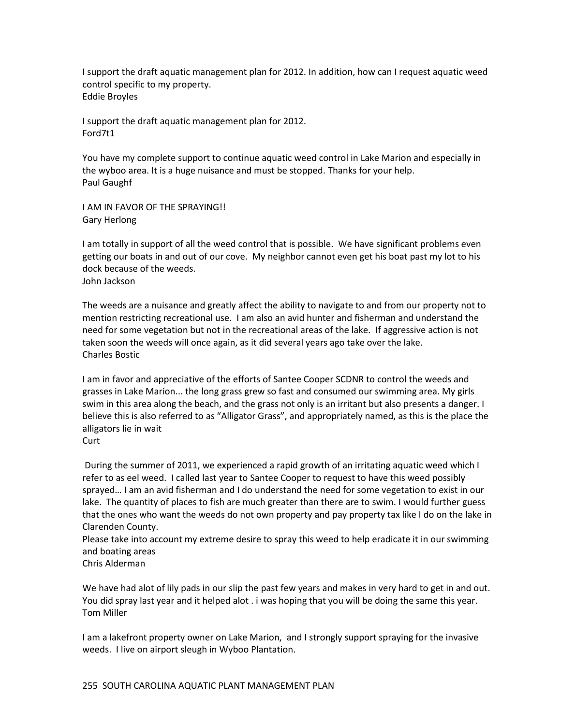I support the draft aquatic management plan for 2012. In addition, how can I request aquatic weed control specific to my property. Eddie Broyles

I support the draft aquatic management plan for 2012. Ford7t1

You have my complete support to continue aquatic weed control in Lake Marion and especially in the wyboo area. It is a huge nuisance and must be stopped. Thanks for your help. Paul Gaughf

I AM IN FAVOR OF THE SPRAYING!! Gary Herlong

I am totally in support of all the weed control that is possible. We have significant problems even getting our boats in and out of our cove. My neighbor cannot even get his boat past my lot to his dock because of the weeds. John Jackson

The weeds are a nuisance and greatly affect the ability to navigate to and from our property not to mention restricting recreational use. I am also an avid hunter and fisherman and understand the need for some vegetation but not in the recreational areas of the lake. If aggressive action is not taken soon the weeds will once again, as it did several years ago take over the lake. Charles Bostic

I am in favor and appreciative of the efforts of Santee Cooper SCDNR to control the weeds and grasses in Lake Marion... the long grass grew so fast and consumed our swimming area. My girls swim in this area along the beach, and the grass not only is an irritant but also presents a danger. I believe this is also referred to as "Alligator Grass", and appropriately named, as this is the place the alligators lie in wait

During the summer of 2011, we experienced a rapid growth of an irritating aquatic weed which I refer to as eel weed. I called last year to Santee Cooper to request to have this weed possibly sprayed… I am an avid fisherman and I do understand the need for some vegetation to exist in our lake. The quantity of places to fish are much greater than there are to swim. I would further guess that the ones who want the weeds do not own property and pay property tax like I do on the lake in Clarenden County.

Please take into account my extreme desire to spray this weed to help eradicate it in our swimming and boating areas

We have had alot of lily pads in our slip the past few years and makes in very hard to get in and out. You did spray last year and it helped alot . i was hoping that you will be doing the same this year. Tom Miller

I am a lakefront property owner on Lake Marion, and I strongly support spraying for the invasive weeds. I live on airport sleugh in Wyboo Plantation.

Curt

Chris Alderman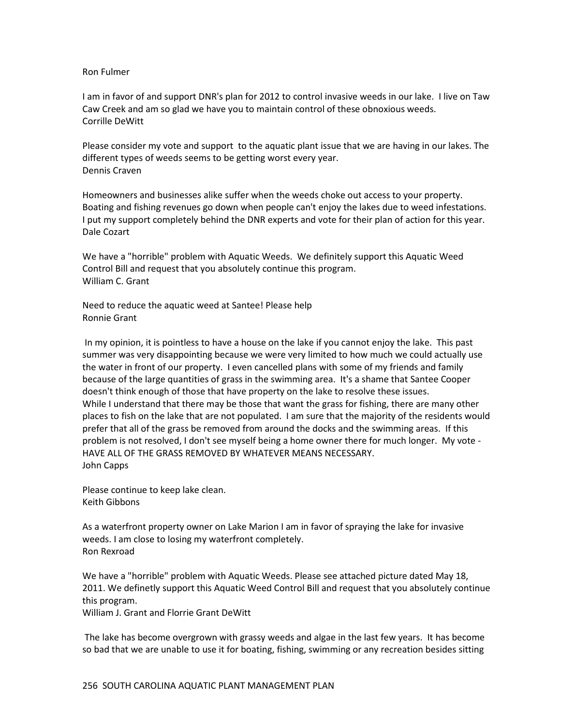#### Ron Fulmer

I am in favor of and support DNR's plan for 2012 to control invasive weeds in our lake. I live on Taw Caw Creek and am so glad we have you to maintain control of these obnoxious weeds. Corrille DeWitt

Please consider my vote and support to the aquatic plant issue that we are having in our lakes. The different types of weeds seems to be getting worst every year. Dennis Craven

Homeowners and businesses alike suffer when the weeds choke out access to your property. Boating and fishing revenues go down when people can't enjoy the lakes due to weed infestations. I put my support completely behind the DNR experts and vote for their plan of action for this year. Dale Cozart

We have a "horrible" problem with Aquatic Weeds. We definitely support this Aquatic Weed Control Bill and request that you absolutely continue this program. William C. Grant

Need to reduce the aquatic weed at Santee! Please help Ronnie Grant

In my opinion, it is pointless to have a house on the lake if you cannot enjoy the lake. This past summer was very disappointing because we were very limited to how much we could actually use the water in front of our property. I even cancelled plans with some of my friends and family because of the large quantities of grass in the swimming area. It's a shame that Santee Cooper doesn't think enough of those that have property on the lake to resolve these issues. While I understand that there may be those that want the grass for fishing, there are many other places to fish on the lake that are not populated. I am sure that the majority of the residents would prefer that all of the grass be removed from around the docks and the swimming areas. If this problem is not resolved, I don't see myself being a home owner there for much longer. My vote - HAVE ALL OF THE GRASS REMOVED BY WHATEVER MEANS NECESSARY. John Capps

Please continue to keep lake clean. Keith Gibbons

As a waterfront property owner on Lake Marion I am in favor of spraying the lake for invasive weeds. I am close to losing my waterfront completely. Ron Rexroad

We have a "horrible" problem with Aquatic Weeds. Please see attached picture dated May 18, 2011. We definetly support this Aquatic Weed Control Bill and request that you absolutely continue this program.

William J. Grant and Florrie Grant DeWitt

The lake has become overgrown with grassy weeds and algae in the last few years. It has become so bad that we are unable to use it for boating, fishing, swimming or any recreation besides sitting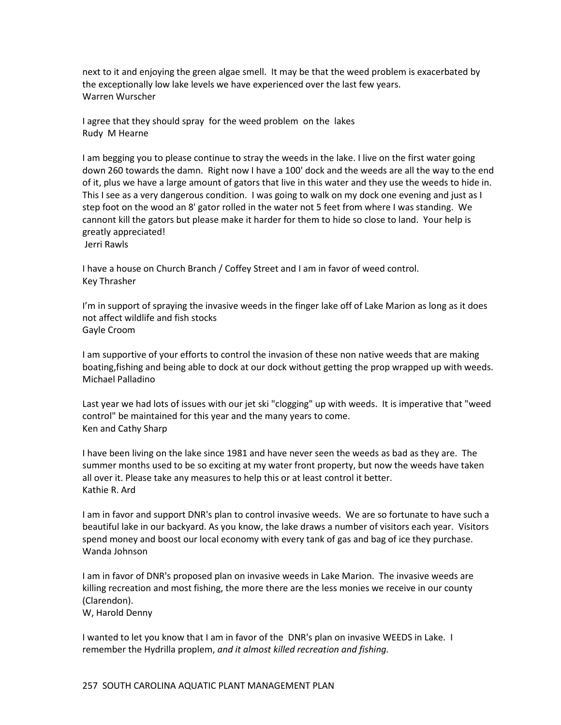next to it and enjoying the green algae smell. It may be that the weed problem is exacerbated by the exceptionally low lake levels we have experienced over the last few years. Warren Wurscher

I agree that they should spray for the weed problem on the lakes Rudy M Hearne

I am begging you to please continue to stray the weeds in the lake. I live on the first water going down 260 towards the damn. Right now I have a 100' dock and the weeds are all the way to the end of it, plus we have a large amount of gators that live in this water and they use the weeds to hide in. This I see as a very dangerous condition. I was going to walk on my dock one evening and just as I step foot on the wood an 8' gator rolled in the water not 5 feet from where I was standing. We cannont kill the gators but please make it harder for them to hide so close to land. Your help is greatly appreciated!

Jerri Rawls

I have a house on Church Branch / Coffey Street and I am in favor of weed control. Key Thrasher

I'm in support of spraying the invasive weeds in the finger lake off of Lake Marion as long as it does not affect wildlife and fish stocks Gayle Croom

I am supportive of your efforts to control the invasion of these non native weeds that are making boating,fishing and being able to dock at our dock without getting the prop wrapped up with weeds. Michael Palladino

Last year we had lots of issues with our jet ski "clogging" up with weeds. It is imperative that "weed control" be maintained for this year and the many years to come. Ken and Cathy Sharp

I have been living on the lake since 1981 and have never seen the weeds as bad as they are. The summer months used to be so exciting at my water front property, but now the weeds have taken all over it. Please take any measures to help this or at least control it better. Kathie R. Ard

I am in favor and support DNR's plan to control invasive weeds. We are so fortunate to have such a beautiful lake in our backyard. As you know, the lake draws a number of visitors each year. Visitors spend money and boost our local economy with every tank of gas and bag of ice they purchase. Wanda Johnson

I am in favor of DNR's proposed plan on invasive weeds in Lake Marion. The invasive weeds are killing recreation and most fishing, the more there are the less monies we receive in our county (Clarendon).

W, Harold Denny

I wanted to let you know that I am in favor of the DNR's plan on invasive WEEDS in Lake. I remember the Hydrilla proplem, *and it almost killed recreation and fishing.*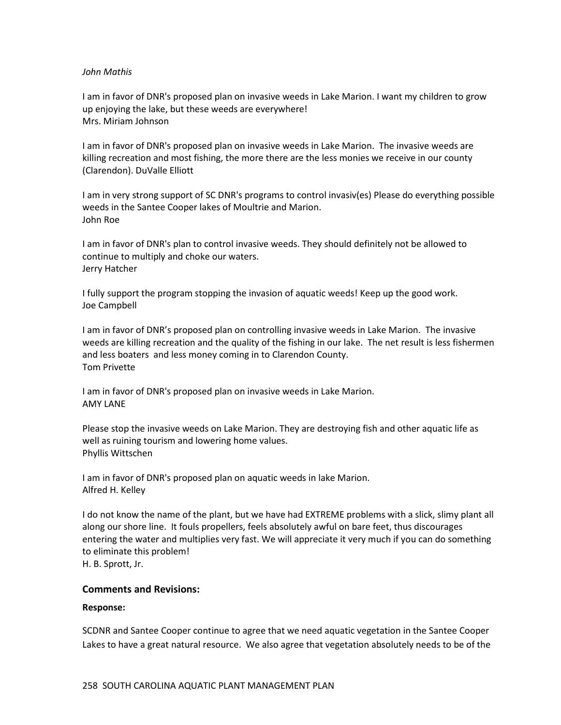#### *John Mathis*

I am in favor of DNR's proposed plan on invasive weeds in Lake Marion. I want my children to grow up enjoying the lake, but these weeds are everywhere! Mrs. Miriam Johnson

I am in favor of DNR's proposed plan on invasive weeds in Lake Marion. The invasive weeds are killing recreation and most fishing, the more there are the less monies we receive in our county (Clarendon). DuValle Elliott

I am in very strong support of SC DNR's programs to control invasiv(es) Please do everything possible weeds in the Santee Cooper lakes of Moultrie and Marion. John Roe

I am in favor of DNR's plan to control invasive weeds. They should definitely not be allowed to continue to multiply and choke our waters. Jerry Hatcher

I fully support the program stopping the invasion of aquatic weeds! Keep up the good work. Joe Campbell

I am in favor of DNR's proposed plan on controlling invasive weeds in Lake Marion. The invasive weeds are killing recreation and the quality of the fishing in our lake. The net result is less fishermen and less boaters and less money coming in to Clarendon County. Tom Privette

I am in favor of DNR's proposed plan on invasive weeds in Lake Marion. AMY LANE

Please stop the invasive weeds on Lake Marion. They are destroying fish and other aquatic life as well as ruining tourism and lowering home values. Phyllis Wittschen

I am in favor of DNR's proposed plan on aquatic weeds in lake Marion. Alfred H. Kelley

I do not know the name of the plant, but we have had EXTREME problems with a slick, slimy plant all along our shore line. It fouls propellers, feels absolutely awful on bare feet, thus discourages entering the water and multiplies very fast. We will appreciate it very much if you can do something to eliminate this problem! H. B. Sprott, Jr.

### **Comments and Revisions:**

### **Response:**

SCDNR and Santee Cooper continue to agree that we need aquatic vegetation in the Santee Cooper Lakes to have a great natural resource. We also agree that vegetation absolutely needs to be of the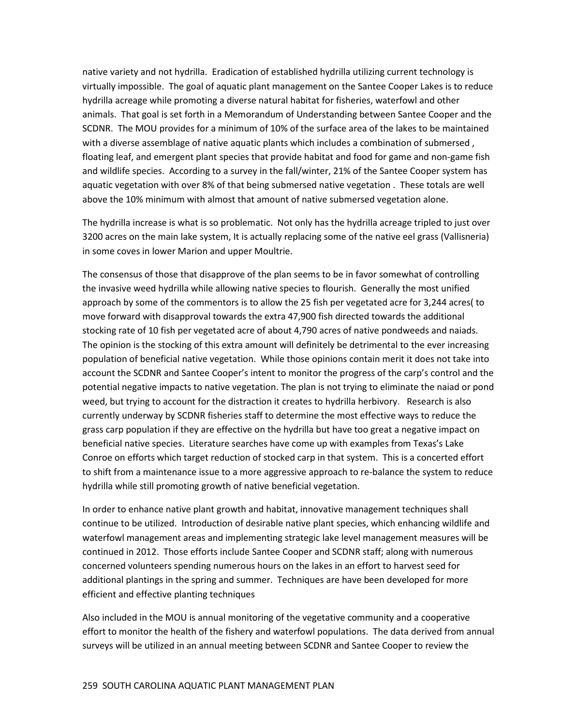native variety and not hydrilla. Eradication of established hydrilla utilizing current technology is virtually impossible. The goal of aquatic plant management on the Santee Cooper Lakes is to reduce hydrilla acreage while promoting a diverse natural habitat for fisheries, waterfowl and other animals. That goal is set forth in a Memorandum of Understanding between Santee Cooper and the SCDNR. The MOU provides for a minimum of 10% of the surface area of the lakes to be maintained with a diverse assemblage of native aquatic plants which includes a combination of submersed , floating leaf, and emergent plant species that provide habitat and food for game and non-game fish and wildlife species. According to a survey in the fall/winter, 21% of the Santee Cooper system has aquatic vegetation with over 8% of that being submersed native vegetation . These totals are well above the 10% minimum with almost that amount of native submersed vegetation alone.

The hydrilla increase is what is so problematic. Not only has the hydrilla acreage tripled to just over 3200 acres on the main lake system, It is actually replacing some of the native eel grass (Vallisneria) in some coves in lower Marion and upper Moultrie.

The consensus of those that disapprove of the plan seems to be in favor somewhat of controlling the invasive weed hydrilla while allowing native species to flourish. Generally the most unified approach by some of the commentors is to allow the 25 fish per vegetated acre for 3,244 acres( to move forward with disapproval towards the extra 47,900 fish directed towards the additional stocking rate of 10 fish per vegetated acre of about 4,790 acres of native pondweeds and naiads. The opinion is the stocking of this extra amount will definitely be detrimental to the ever increasing population of beneficial native vegetation. While those opinions contain merit it does not take into account the SCDNR and Santee Cooper's intent to monitor the progress of the carp's control and the potential negative impacts to native vegetation. The plan is not trying to eliminate the naiad or pond weed, but trying to account for the distraction it creates to hydrilla herbivory. Research is also currently underway by SCDNR fisheries staff to determine the most effective ways to reduce the grass carp population if they are effective on the hydrilla but have too great a negative impact on beneficial native species. Literature searches have come up with examples from Texas's Lake Conroe on efforts which target reduction of stocked carp in that system. This is a concerted effort to shift from a maintenance issue to a more aggressive approach to re-balance the system to reduce hydrilla while still promoting growth of native beneficial vegetation.

In order to enhance native plant growth and habitat, innovative management techniques shall continue to be utilized. Introduction of desirable native plant species, which enhancing wildlife and waterfowl management areas and implementing strategic lake level management measures will be continued in 2012. Those efforts include Santee Cooper and SCDNR staff; along with numerous concerned volunteers spending numerous hours on the lakes in an effort to harvest seed for additional plantings in the spring and summer. Techniques are have been developed for more efficient and effective planting techniques

Also included in the MOU is annual monitoring of the vegetative community and a cooperative effort to monitor the health of the fishery and waterfowl populations. The data derived from annual surveys will be utilized in an annual meeting between SCDNR and Santee Cooper to review the